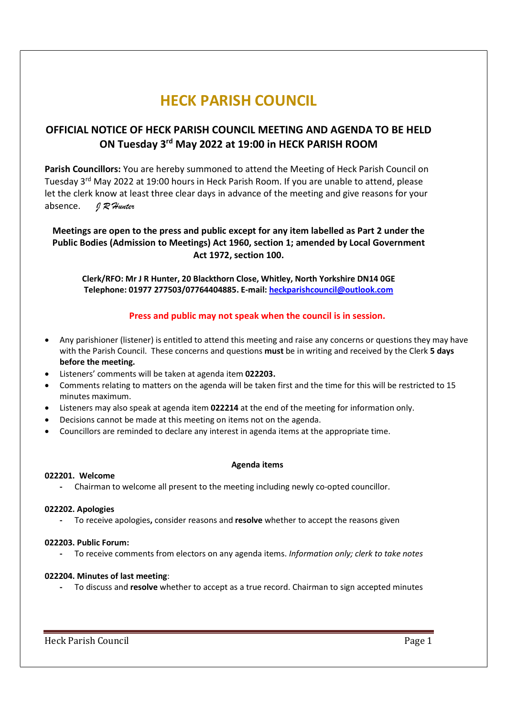# HECK PARISH COUNCIL

# OFFICIAL NOTICE OF HECK PARISH COUNCIL MEETING AND AGENDA TO BE HELD ON Tuesday 3rd May 2022 at 19:00 in HECK PARISH ROOM

Parish Councillors: You are hereby summoned to attend the Meeting of Heck Parish Council on Tuesday 3rd May 2022 at 19:00 hours in Heck Parish Room. If you are unable to attend, please let the clerk know at least three clear days in advance of the meeting and give reasons for your absence. JR Hunter

Meetings are open to the press and public except for any item labelled as Part 2 under the Public Bodies (Admission to Meetings) Act 1960, section 1; amended by Local Government Act 1972, section 100.

Clerk/RFO: Mr J R Hunter, 20 Blackthorn Close, Whitley, North Yorkshire DN14 0GE Telephone: 01977 277503/07764404885. E-mail: heckparishcouncil@outlook.com

# Press and public may not speak when the council is in session.

- Any parishioner (listener) is entitled to attend this meeting and raise any concerns or questions they may have with the Parish Council. These concerns and questions must be in writing and received by the Clerk 5 days before the meeting.
- Listeners' comments will be taken at agenda item 022203.
- Comments relating to matters on the agenda will be taken first and the time for this will be restricted to 15 minutes maximum.
- Listeners may also speak at agenda item 022214 at the end of the meeting for information only.
- Decisions cannot be made at this meeting on items not on the agenda.
- Councillors are reminded to declare any interest in agenda items at the appropriate time.

#### Agenda items

#### 022201. Welcome

- Chairman to welcome all present to the meeting including newly co-opted councillor.

#### 022202. Apologies

To receive apologies, consider reasons and resolve whether to accept the reasons given

#### 022203. Public Forum:

To receive comments from electors on any agenda items. Information only; clerk to take notes

#### 022204. Minutes of last meeting:

- To discuss and resolve whether to accept as a true record. Chairman to sign accepted minutes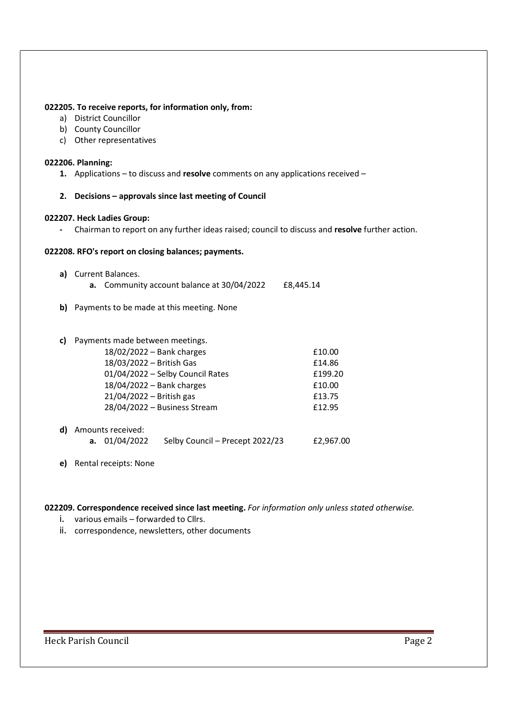#### 022205. To receive reports, for information only, from:

- a) District Councillor
- b) County Councillor
- c) Other representatives

#### 022206. Planning:

- 1. Applications to discuss and resolve comments on any applications received –
- 2. Decisions approvals since last meeting of Council

## 022207. Heck Ladies Group:

- Chairman to report on any further ideas raised; council to discuss and resolve further action.

#### 022208. RFO's report on closing balances; payments.

- a) Current Balances.
	- a. Community account balance at 30/04/2022 £8,445.14
- b) Payments to be made at this meeting. None

## c) Payments made between meetings.

| $18/02/2022 -$ Bank charges      | £10.00  |
|----------------------------------|---------|
| 18/03/2022 - British Gas         | £14.86  |
| 01/04/2022 - Selby Council Rates | £199.20 |
| 18/04/2022 - Bank charges        | £10.00  |
| $21/04/2022 -$ British gas       | £13.75  |
| 28/04/2022 - Business Stream     | £12.95  |
|                                  |         |
|                                  |         |

# d) Amounts received: a. 01/04/2022 Selby Council – Precept 2022/23 £2,967.00

e) Rental receipts: None

# 022209. Correspondence received since last meeting. For information only unless stated otherwise.

- i. various emails forwarded to Cllrs.
- ii. correspondence, newsletters, other documents